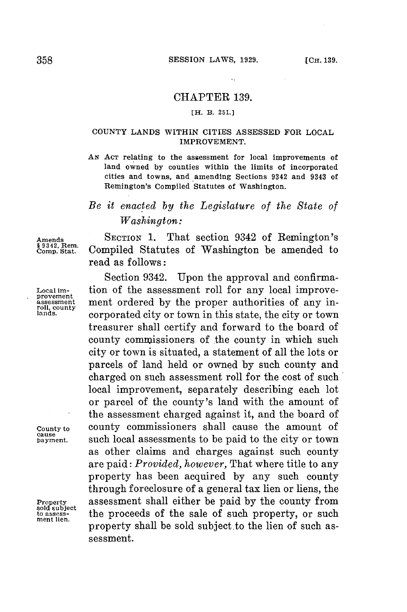$\ddot{\phantom{a}}$ 

### CHAPTER **139.**

### **[H. B. 251.]**

### **COUNTY LANDS WITHIN CITIES ASSESSED FOR LOCAL IMPROVEMENT.**

**AN ACT relating to the assessment for local improvements of land owned by counties within the limits of incorporated cities and towns, and amending Sections 9342 and 9343 of Remington's Compiled Statutes of Washington.**

# *Be it enacted by the Legislature of the State of Washington:*

Amends SECTION 1. That section 9342 of Remington's Secare Section 3442 of Remington's Comp. Stat. Compiled Statutes of Washington be amended to Compiled Statutes of Washington be amended to read as follows:

Section 9342. Upon the approval and confirma-**Local im-** tion of the assessment roll for any local improve- **provement** ment ordered by the proper authorities of any in-**<sup>1</sup> la.** corporated city or town in this state, the city or town treasurer shall certify and forward to the board of county commissioners of the county in which such city or town is situated, a statement of all the lots or parcels of land held or owned **by** such county and charged on such assessment roll for the cost of such local improvement, separately describing each lot or parcel of the county's land with the amount of the assessment charged against it, and the board of **County to** county commissioners shall cause the amount of **cause** such local assessments to be paid to the city or town as other claims and charges against such county are paid: *Provided, however,* That where title to any property has been acquired **by** any such county through foreclosure of a general tax lien or liens, the **Property** assessment shall either be paid **by** the county from sold assess-<br>ment lien. **the proceeds of the sale of such property, or such** property shall be sold subject.to the lien of such assessment.

roll, county<br>lands.